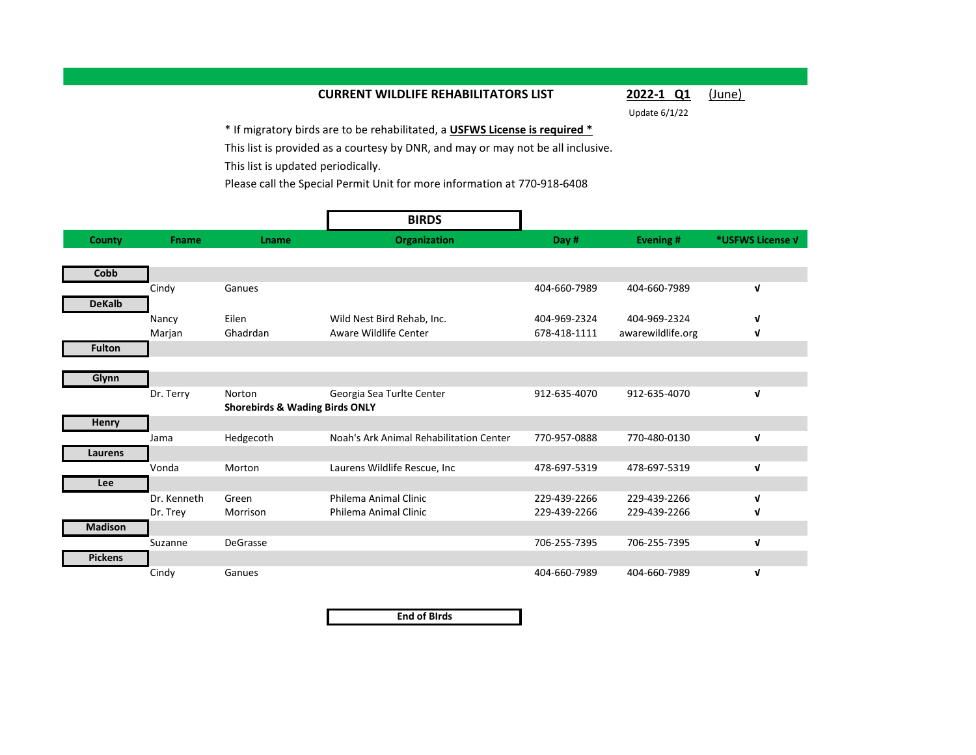## **CURRENT WILDLIFE REHABILITATORS LIST 2022-1 Q1** (June)

Update 6/1/22

\* If migratory birds are to be rehabilitated, a **USFWS License is required \*** This list is provided as a courtesy by DNR, and may or may not be all inclusive. This list is updated periodically.

Please call the Special Permit Unit for more information at 770-918-6408

|                |              |                                           | <b>BIRDS</b>                            |              |                   |                  |
|----------------|--------------|-------------------------------------------|-----------------------------------------|--------------|-------------------|------------------|
| County         | <b>Fname</b> | <b>Lname</b>                              | Organization                            | Day #        | Evening #         | *USFWS License V |
|                |              |                                           |                                         |              |                   |                  |
| Cobb           |              |                                           |                                         |              |                   |                  |
|                | Cindy        | Ganues                                    |                                         | 404-660-7989 | 404-660-7989      | V                |
| <b>DeKalb</b>  |              |                                           |                                         |              |                   |                  |
|                | Nancy        | Eilen                                     | Wild Nest Bird Rehab, Inc.              | 404-969-2324 | 404-969-2324      | V                |
|                | Marjan       | Ghadrdan                                  | Aware Wildlife Center                   | 678-418-1111 | awarewildlife.org | V                |
| <b>Fulton</b>  |              |                                           |                                         |              |                   |                  |
|                |              |                                           |                                         |              |                   |                  |
| Glynn          |              |                                           |                                         |              |                   |                  |
|                | Dr. Terry    | Norton                                    | Georgia Sea Turlte Center               | 912-635-4070 | 912-635-4070      | V                |
|                |              | <b>Shorebirds &amp; Wading Birds ONLY</b> |                                         |              |                   |                  |
| <b>Henry</b>   |              |                                           |                                         |              |                   |                  |
|                | Jama         | Hedgecoth                                 | Noah's Ark Animal Rehabilitation Center | 770-957-0888 | 770-480-0130      | V                |
| Laurens        |              |                                           |                                         |              |                   |                  |
|                | Vonda        | Morton                                    | Laurens Wildlife Rescue, Inc.           | 478-697-5319 | 478-697-5319      | V                |
| Lee            |              |                                           |                                         |              |                   |                  |
|                | Dr. Kenneth  | Green                                     | Philema Animal Clinic                   | 229-439-2266 | 229-439-2266      | V                |
|                | Dr. Trey     | Morrison                                  | Philema Animal Clinic                   | 229-439-2266 | 229-439-2266      | V                |
| <b>Madison</b> |              |                                           |                                         |              |                   |                  |
|                | Suzanne      | <b>DeGrasse</b>                           |                                         | 706-255-7395 | 706-255-7395      | V                |
| <b>Pickens</b> |              |                                           |                                         |              |                   |                  |
|                | Cindy        | Ganues                                    |                                         | 404-660-7989 | 404-660-7989      | V                |

**End of BIrds**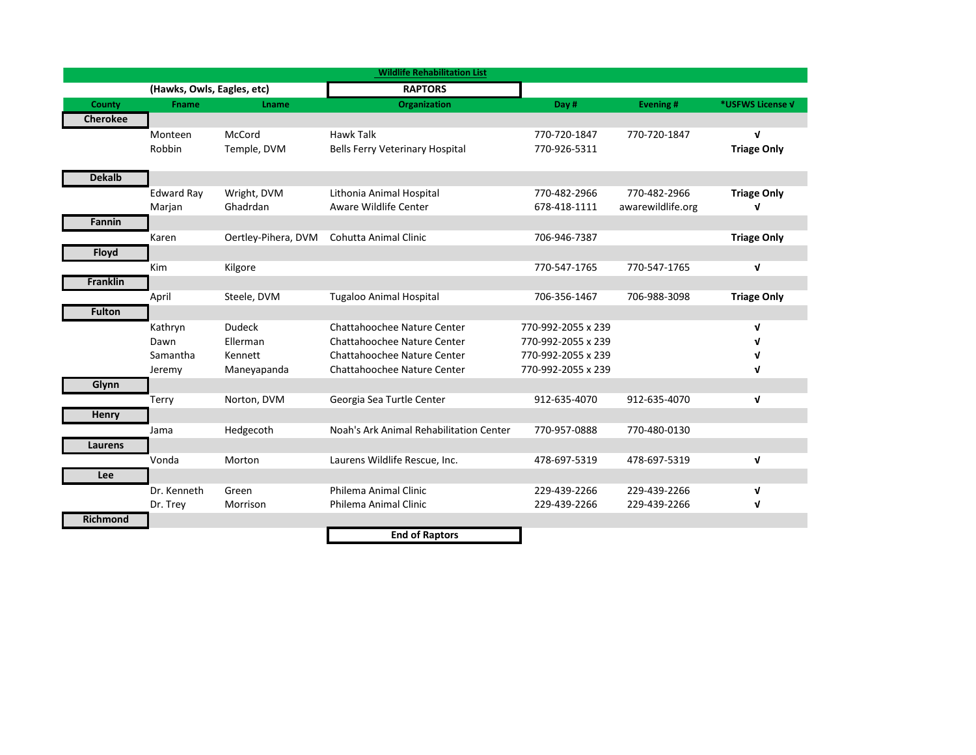|                 |                            |                     | <b>Wildlife Rehabilitation List</b>     |                    |                   |                    |
|-----------------|----------------------------|---------------------|-----------------------------------------|--------------------|-------------------|--------------------|
|                 | (Hawks, Owls, Eagles, etc) |                     | <b>RAPTORS</b>                          |                    |                   |                    |
| County          | <b>Fname</b>               | Lname               | <b>Organization</b>                     | Day #              | <b>Evening#</b>   | *USFWS License V   |
| <b>Cherokee</b> |                            |                     |                                         |                    |                   |                    |
|                 | Monteen                    | McCord              | <b>Hawk Talk</b>                        | 770-720-1847       | 770-720-1847      | V                  |
|                 | Robbin                     | Temple, DVM         | <b>Bells Ferry Veterinary Hospital</b>  | 770-926-5311       |                   | <b>Triage Only</b> |
|                 |                            |                     |                                         |                    |                   |                    |
| <b>Dekalb</b>   |                            |                     |                                         |                    |                   |                    |
|                 | Edward Ray                 | Wright, DVM         | Lithonia Animal Hospital                | 770-482-2966       | 770-482-2966      | <b>Triage Only</b> |
|                 | Marjan                     | Ghadrdan            | Aware Wildlife Center                   | 678-418-1111       | awarewildlife.org | v                  |
| Fannin          |                            |                     |                                         |                    |                   |                    |
|                 | Karen                      | Oertley-Pihera, DVM | Cohutta Animal Clinic                   | 706-946-7387       |                   | <b>Triage Only</b> |
| Floyd           |                            |                     |                                         |                    |                   |                    |
|                 | Kim                        | Kilgore             |                                         | 770-547-1765       | 770-547-1765      | $\mathbf v$        |
| <b>Franklin</b> |                            |                     |                                         |                    |                   |                    |
|                 | April                      | Steele, DVM         | <b>Tugaloo Animal Hospital</b>          | 706-356-1467       | 706-988-3098      | <b>Triage Only</b> |
| <b>Fulton</b>   |                            |                     |                                         |                    |                   |                    |
|                 | Kathryn                    | <b>Dudeck</b>       | Chattahoochee Nature Center             | 770-992-2055 x 239 |                   | V                  |
|                 | Dawn                       | Ellerman            | Chattahoochee Nature Center             | 770-992-2055 x 239 |                   | ν                  |
|                 | Samantha                   | Kennett             | Chattahoochee Nature Center             | 770-992-2055 x 239 |                   | ν                  |
|                 | Jeremy                     | Maneyapanda         | Chattahoochee Nature Center             | 770-992-2055 x 239 |                   | V                  |
| Glynn           |                            |                     |                                         |                    |                   |                    |
|                 | Terry                      | Norton, DVM         | Georgia Sea Turtle Center               | 912-635-4070       | 912-635-4070      | $\mathbf v$        |
| <b>Henry</b>    |                            |                     |                                         |                    |                   |                    |
|                 | Jama                       | Hedgecoth           | Noah's Ark Animal Rehabilitation Center | 770-957-0888       | 770-480-0130      |                    |
| Laurens         |                            |                     |                                         |                    |                   |                    |
|                 | Vonda                      | Morton              | Laurens Wildlife Rescue, Inc.           | 478-697-5319       | 478-697-5319      | V                  |
| Lee             |                            |                     |                                         |                    |                   |                    |
|                 | Dr. Kenneth                | Green               | Philema Animal Clinic                   | 229-439-2266       | 229-439-2266      | V                  |
|                 | Dr. Trey                   | Morrison            | Philema Animal Clinic                   | 229-439-2266       | 229-439-2266      | V                  |
| <b>Richmond</b> |                            |                     |                                         |                    |                   |                    |
|                 |                            |                     | <b>End of Raptors</b>                   |                    |                   |                    |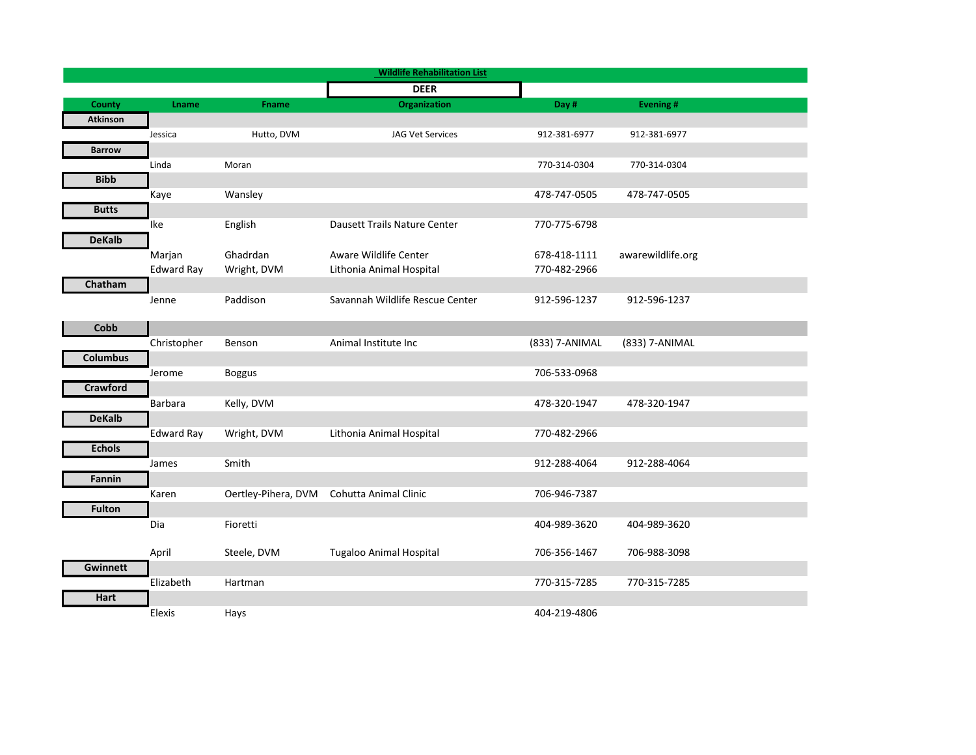|                 |                   |                     | <b>Wildlife Rehabilitation List</b> |                |                   |
|-----------------|-------------------|---------------------|-------------------------------------|----------------|-------------------|
|                 |                   |                     | <b>DEER</b>                         |                |                   |
| County          | Lname             | Fname               | <b>Organization</b>                 | Day #          | <b>Evening#</b>   |
| <b>Atkinson</b> |                   |                     |                                     |                |                   |
|                 | Jessica           | Hutto, DVM          | <b>JAG Vet Services</b>             | 912-381-6977   | 912-381-6977      |
| <b>Barrow</b>   |                   |                     |                                     |                |                   |
|                 | Linda             | Moran               |                                     | 770-314-0304   | 770-314-0304      |
| <b>Bibb</b>     |                   |                     |                                     |                |                   |
|                 | Kaye              | Wansley             |                                     | 478-747-0505   | 478-747-0505      |
| <b>Butts</b>    |                   |                     |                                     |                |                   |
|                 | Ike               | English             | Dausett Trails Nature Center        | 770-775-6798   |                   |
| <b>DeKalb</b>   |                   |                     |                                     |                |                   |
|                 | Marjan            | Ghadrdan            | Aware Wildlife Center               | 678-418-1111   | awarewildlife.org |
|                 | <b>Edward Ray</b> | Wright, DVM         | Lithonia Animal Hospital            | 770-482-2966   |                   |
| Chatham         |                   |                     |                                     |                |                   |
|                 | Jenne             | Paddison            | Savannah Wildlife Rescue Center     | 912-596-1237   | 912-596-1237      |
|                 |                   |                     |                                     |                |                   |
| Cobb            |                   |                     |                                     |                |                   |
|                 | Christopher       | Benson              | Animal Institute Inc                | (833) 7-ANIMAL | (833) 7-ANIMAL    |
| <b>Columbus</b> |                   |                     |                                     |                |                   |
|                 | Jerome            | <b>Boggus</b>       |                                     | 706-533-0968   |                   |
| <b>Crawford</b> |                   |                     |                                     |                |                   |
|                 | Barbara           | Kelly, DVM          |                                     | 478-320-1947   | 478-320-1947      |
| <b>DeKalb</b>   |                   |                     |                                     |                |                   |
| <b>Echols</b>   | <b>Edward Ray</b> | Wright, DVM         | Lithonia Animal Hospital            | 770-482-2966   |                   |
|                 |                   | Smith               |                                     | 912-288-4064   | 912-288-4064      |
| Fannin          | James             |                     |                                     |                |                   |
|                 | Karen             | Oertley-Pihera, DVM | Cohutta Animal Clinic               | 706-946-7387   |                   |
| <b>Fulton</b>   |                   |                     |                                     |                |                   |
|                 | Dia               | Fioretti            |                                     | 404-989-3620   | 404-989-3620      |
|                 |                   |                     |                                     |                |                   |
|                 | April             | Steele, DVM         | <b>Tugaloo Animal Hospital</b>      | 706-356-1467   | 706-988-3098      |
| <b>Gwinnett</b> |                   |                     |                                     |                |                   |
|                 | Elizabeth         | Hartman             |                                     | 770-315-7285   | 770-315-7285      |
| Hart            |                   |                     |                                     |                |                   |
|                 | Elexis            | Hays                |                                     | 404-219-4806   |                   |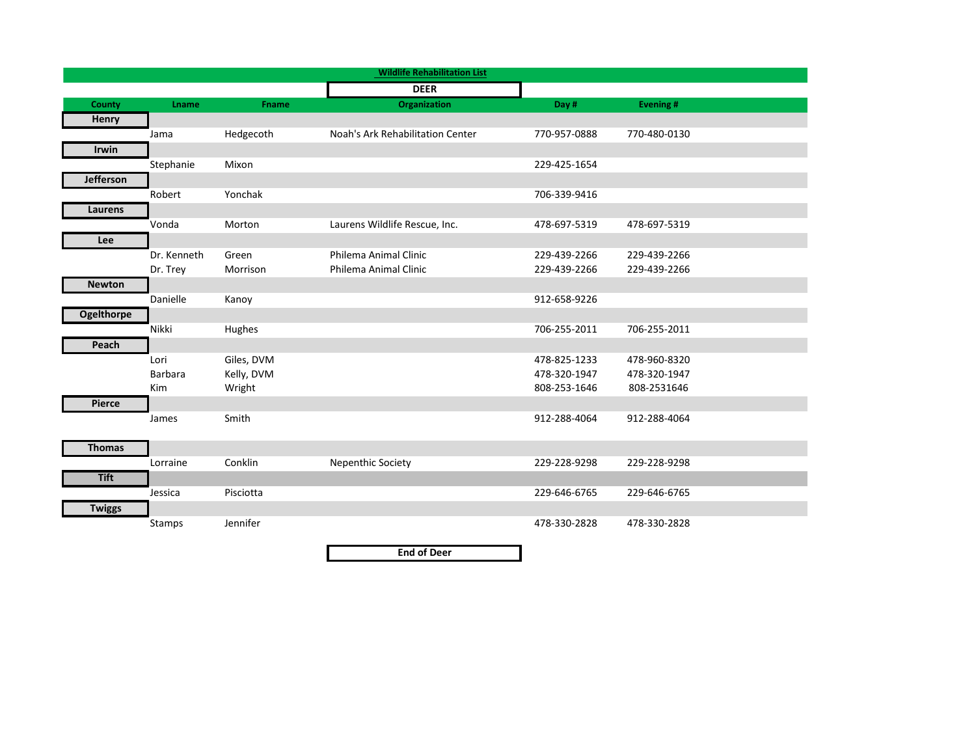|                   |             |            | <b>Wildlife Rehabilitation List</b> |              |                 |
|-------------------|-------------|------------|-------------------------------------|--------------|-----------------|
|                   |             |            | <b>DEER</b>                         |              |                 |
| County            | Lname       | Fname      | <b>Organization</b>                 | Day #        | <b>Evening#</b> |
| <b>Henry</b>      |             |            |                                     |              |                 |
|                   | Jama        | Hedgecoth  | Noah's Ark Rehabilitation Center    | 770-957-0888 | 770-480-0130    |
| <b>Irwin</b>      |             |            |                                     |              |                 |
|                   | Stephanie   | Mixon      |                                     | 229-425-1654 |                 |
| <b>Jefferson</b>  |             |            |                                     |              |                 |
|                   | Robert      | Yonchak    |                                     | 706-339-9416 |                 |
| Laurens           |             |            |                                     |              |                 |
|                   | Vonda       | Morton     | Laurens Wildlife Rescue, Inc.       | 478-697-5319 | 478-697-5319    |
| Lee               |             |            |                                     |              |                 |
|                   | Dr. Kenneth | Green      | Philema Animal Clinic               | 229-439-2266 | 229-439-2266    |
|                   | Dr. Trey    | Morrison   | Philema Animal Clinic               | 229-439-2266 | 229-439-2266    |
| <b>Newton</b>     |             |            |                                     |              |                 |
|                   | Danielle    | Kanoy      |                                     | 912-658-9226 |                 |
| <b>Ogelthorpe</b> |             |            |                                     |              |                 |
|                   | Nikki       | Hughes     |                                     | 706-255-2011 | 706-255-2011    |
| Peach             |             |            |                                     |              |                 |
|                   | Lori        | Giles, DVM |                                     | 478-825-1233 | 478-960-8320    |
|                   | Barbara     | Kelly, DVM |                                     | 478-320-1947 | 478-320-1947    |
|                   | Kim         | Wright     |                                     | 808-253-1646 | 808-2531646     |
| <b>Pierce</b>     |             |            |                                     |              |                 |
|                   | James       | Smith      |                                     | 912-288-4064 | 912-288-4064    |
|                   |             |            |                                     |              |                 |
| <b>Thomas</b>     |             |            |                                     |              |                 |
|                   | Lorraine    | Conklin    | Nepenthic Society                   | 229-228-9298 | 229-228-9298    |
| <b>Tift</b>       |             |            |                                     |              |                 |
|                   | Jessica     | Pisciotta  |                                     | 229-646-6765 | 229-646-6765    |
| <b>Twiggs</b>     |             |            |                                     |              |                 |
|                   | Stamps      | Jennifer   |                                     | 478-330-2828 | 478-330-2828    |
|                   |             |            |                                     |              |                 |
|                   |             |            | <b>End of Deer</b>                  |              |                 |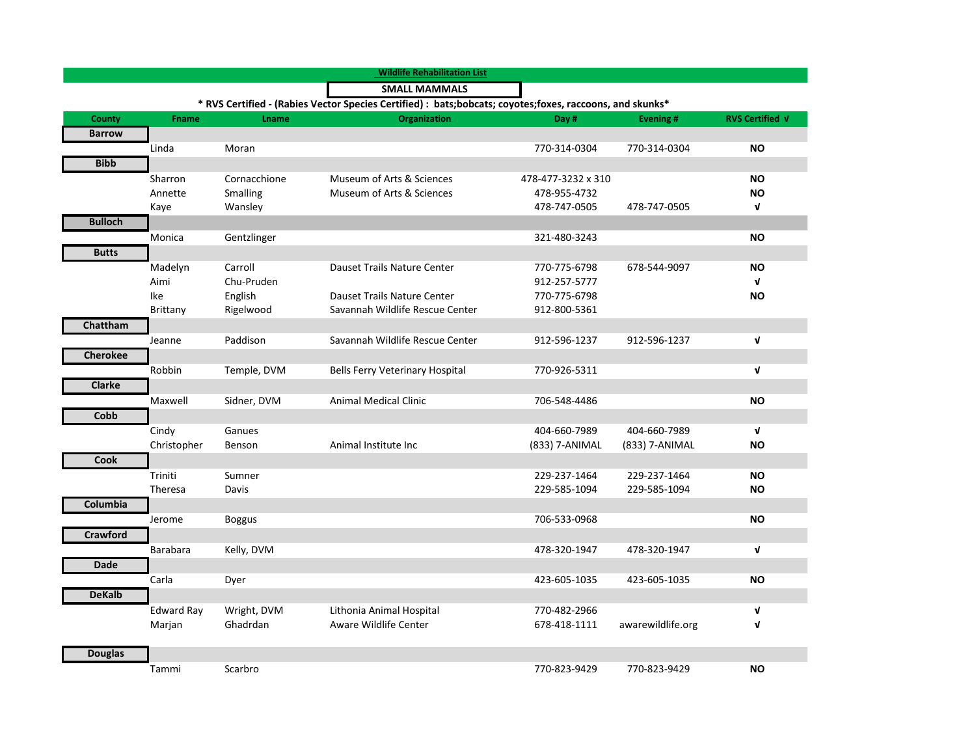|                 |                   |               | <b>Wildlife Rehabilitation List</b>                                                                        |                    |                   |                 |
|-----------------|-------------------|---------------|------------------------------------------------------------------------------------------------------------|--------------------|-------------------|-----------------|
|                 |                   |               | <b>SMALL MAMMALS</b>                                                                                       |                    |                   |                 |
|                 |                   |               | * RVS Certified - (Rabies Vector Species Certified) : bats; bobcats; coyotes; foxes, raccoons, and skunks* |                    |                   |                 |
| <b>County</b>   | <b>Fname</b>      | <b>Lname</b>  | <b>Organization</b>                                                                                        | Day #              | <b>Evening#</b>   | RVS Certified V |
| <b>Barrow</b>   |                   |               |                                                                                                            |                    |                   |                 |
|                 | Linda             | Moran         |                                                                                                            | 770-314-0304       | 770-314-0304      | <b>NO</b>       |
| <b>Bibb</b>     |                   |               |                                                                                                            |                    |                   |                 |
|                 | Sharron           | Cornacchione  | Museum of Arts & Sciences                                                                                  | 478-477-3232 x 310 |                   | <b>NO</b>       |
|                 | Annette           | Smalling      | Museum of Arts & Sciences                                                                                  | 478-955-4732       |                   | <b>NO</b>       |
|                 | Kaye              | Wansley       |                                                                                                            | 478-747-0505       | 478-747-0505      | V               |
| <b>Bulloch</b>  |                   |               |                                                                                                            |                    |                   |                 |
|                 | Monica            | Gentzlinger   |                                                                                                            | 321-480-3243       |                   | <b>NO</b>       |
| <b>Butts</b>    |                   |               |                                                                                                            |                    |                   |                 |
|                 | Madelyn           | Carroll       | Dauset Trails Nature Center                                                                                | 770-775-6798       | 678-544-9097      | <b>NO</b>       |
|                 | Aimi              | Chu-Pruden    |                                                                                                            | 912-257-5777       |                   | V               |
|                 | Ike               | English       | Dauset Trails Nature Center                                                                                | 770-775-6798       |                   | <b>NO</b>       |
|                 | Brittany          | Rigelwood     | Savannah Wildlife Rescue Center                                                                            | 912-800-5361       |                   |                 |
| Chattham        |                   |               |                                                                                                            |                    |                   |                 |
|                 | Jeanne            | Paddison      | Savannah Wildlife Rescue Center                                                                            | 912-596-1237       | 912-596-1237      | $\mathbf v$     |
| <b>Cherokee</b> |                   |               |                                                                                                            |                    |                   |                 |
|                 | Robbin            | Temple, DVM   | <b>Bells Ferry Veterinary Hospital</b>                                                                     | 770-926-5311       |                   | $\mathbf{v}$    |
| <b>Clarke</b>   |                   |               |                                                                                                            |                    |                   |                 |
|                 | Maxwell           | Sidner, DVM   | <b>Animal Medical Clinic</b>                                                                               | 706-548-4486       |                   | <b>NO</b>       |
| Cobb            |                   |               |                                                                                                            |                    |                   |                 |
|                 | Cindy             | Ganues        |                                                                                                            | 404-660-7989       | 404-660-7989      | $\mathbf{v}$    |
|                 | Christopher       | Benson        | Animal Institute Inc                                                                                       | (833) 7-ANIMAL     | (833) 7-ANIMAL    | <b>NO</b>       |
| <b>Cook</b>     |                   |               |                                                                                                            |                    |                   |                 |
|                 | Triniti           | Sumner        |                                                                                                            | 229-237-1464       | 229-237-1464      | ΝO              |
|                 | Theresa           | Davis         |                                                                                                            | 229-585-1094       | 229-585-1094      | <b>NO</b>       |
| Columbia        |                   |               |                                                                                                            |                    |                   |                 |
|                 | Jerome            | <b>Boggus</b> |                                                                                                            | 706-533-0968       |                   | <b>NO</b>       |
| <b>Crawford</b> |                   |               |                                                                                                            |                    |                   |                 |
|                 | <b>Barabara</b>   | Kelly, DVM    |                                                                                                            | 478-320-1947       | 478-320-1947      | $\mathbf{v}$    |
| Dade            |                   |               |                                                                                                            |                    |                   |                 |
|                 | Carla             | Dyer          |                                                                                                            | 423-605-1035       | 423-605-1035      | <b>NO</b>       |
| <b>DeKalb</b>   |                   |               |                                                                                                            |                    |                   |                 |
|                 | <b>Edward Ray</b> | Wright, DVM   | Lithonia Animal Hospital                                                                                   | 770-482-2966       |                   | $\mathbf v$     |
|                 | Marjan            | Ghadrdan      | Aware Wildlife Center                                                                                      | 678-418-1111       | awarewildlife.org | V               |
|                 |                   |               |                                                                                                            |                    |                   |                 |
| <b>Douglas</b>  |                   |               |                                                                                                            |                    |                   |                 |
|                 | Tammi             | Scarbro       |                                                                                                            | 770-823-9429       | 770-823-9429      | <b>NO</b>       |
|                 |                   |               |                                                                                                            |                    |                   |                 |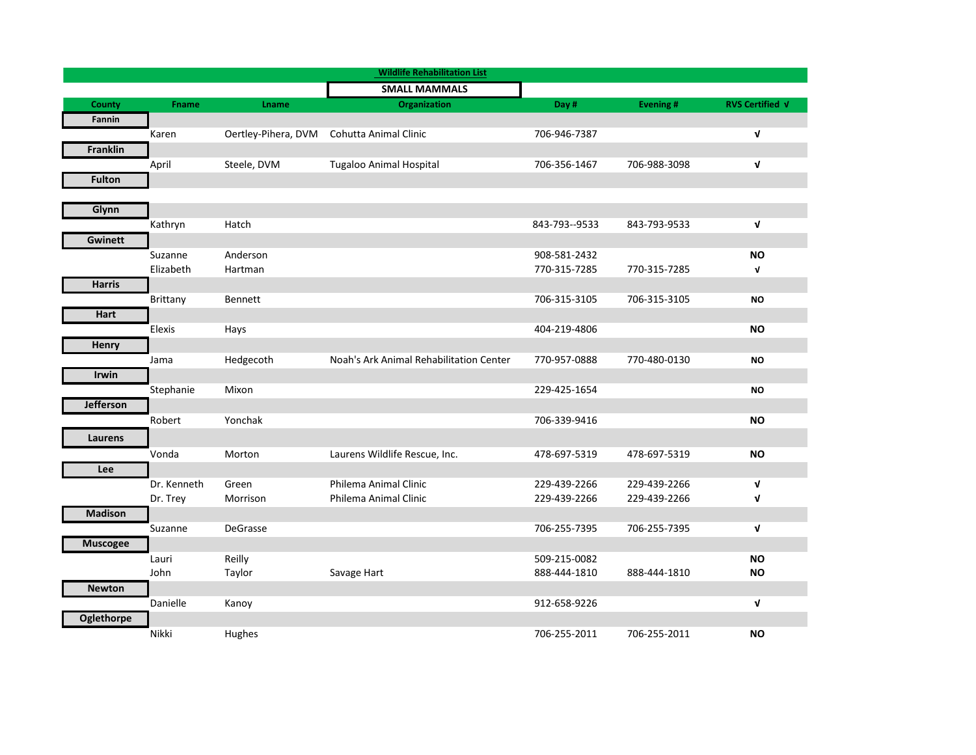|                   |              |                     | <b>Wildlife Rehabilitation List</b>     |               |              |                        |
|-------------------|--------------|---------------------|-----------------------------------------|---------------|--------------|------------------------|
|                   |              |                     | <b>SMALL MAMMALS</b>                    |               |              |                        |
| <b>County</b>     | <b>Fname</b> | <b>Lname</b>        | Organization                            | Day #         | Evening#     | <b>RVS Certified V</b> |
| Fannin            |              |                     |                                         |               |              |                        |
|                   | Karen        | Oertley-Pihera, DVM | Cohutta Animal Clinic                   | 706-946-7387  |              | V                      |
| <b>Franklin</b>   |              |                     |                                         |               |              |                        |
|                   | April        | Steele, DVM         | <b>Tugaloo Animal Hospital</b>          | 706-356-1467  | 706-988-3098 | $\mathbf v$            |
| <b>Fulton</b>     |              |                     |                                         |               |              |                        |
|                   |              |                     |                                         |               |              |                        |
| Glynn             |              |                     |                                         |               |              |                        |
|                   | Kathryn      | Hatch               |                                         | 843-793--9533 | 843-793-9533 | V                      |
| <b>Gwinett</b>    |              |                     |                                         |               |              |                        |
|                   | Suzanne      | Anderson            |                                         | 908-581-2432  |              | <b>NO</b>              |
|                   | Elizabeth    | Hartman             |                                         | 770-315-7285  | 770-315-7285 | V                      |
| <b>Harris</b>     |              |                     |                                         |               |              |                        |
|                   | Brittany     | Bennett             |                                         | 706-315-3105  | 706-315-3105 | <b>NO</b>              |
| Hart              |              |                     |                                         |               |              |                        |
|                   | Elexis       | Hays                |                                         | 404-219-4806  |              | <b>NO</b>              |
| Henry             |              |                     |                                         |               |              |                        |
|                   | Jama         | Hedgecoth           | Noah's Ark Animal Rehabilitation Center | 770-957-0888  | 770-480-0130 | <b>NO</b>              |
| <b>Irwin</b>      |              |                     |                                         |               |              |                        |
|                   | Stephanie    | Mixon               |                                         | 229-425-1654  |              | <b>NO</b>              |
| <b>Jefferson</b>  |              |                     |                                         |               |              |                        |
|                   | Robert       | Yonchak             |                                         | 706-339-9416  |              | <b>NO</b>              |
| Laurens           |              |                     |                                         |               |              |                        |
|                   | Vonda        | Morton              | Laurens Wildlife Rescue, Inc.           | 478-697-5319  | 478-697-5319 | <b>NO</b>              |
| Lee               |              |                     |                                         |               |              |                        |
|                   | Dr. Kenneth  | Green               | Philema Animal Clinic                   | 229-439-2266  | 229-439-2266 | V                      |
|                   | Dr. Trey     | Morrison            | Philema Animal Clinic                   | 229-439-2266  | 229-439-2266 | V                      |
| <b>Madison</b>    |              |                     |                                         |               |              |                        |
|                   | Suzanne      | DeGrasse            |                                         | 706-255-7395  | 706-255-7395 | V                      |
| <b>Muscogee</b>   |              |                     |                                         |               |              |                        |
|                   | Lauri        | Reilly              |                                         | 509-215-0082  |              | <b>NO</b>              |
|                   | John         | Taylor              | Savage Hart                             | 888-444-1810  | 888-444-1810 | <b>NO</b>              |
| <b>Newton</b>     |              |                     |                                         |               |              |                        |
|                   | Danielle     | Kanoy               |                                         | 912-658-9226  |              | V                      |
| <b>Oglethorpe</b> |              |                     |                                         |               |              |                        |
|                   | Nikki        | Hughes              |                                         | 706-255-2011  | 706-255-2011 | <b>NO</b>              |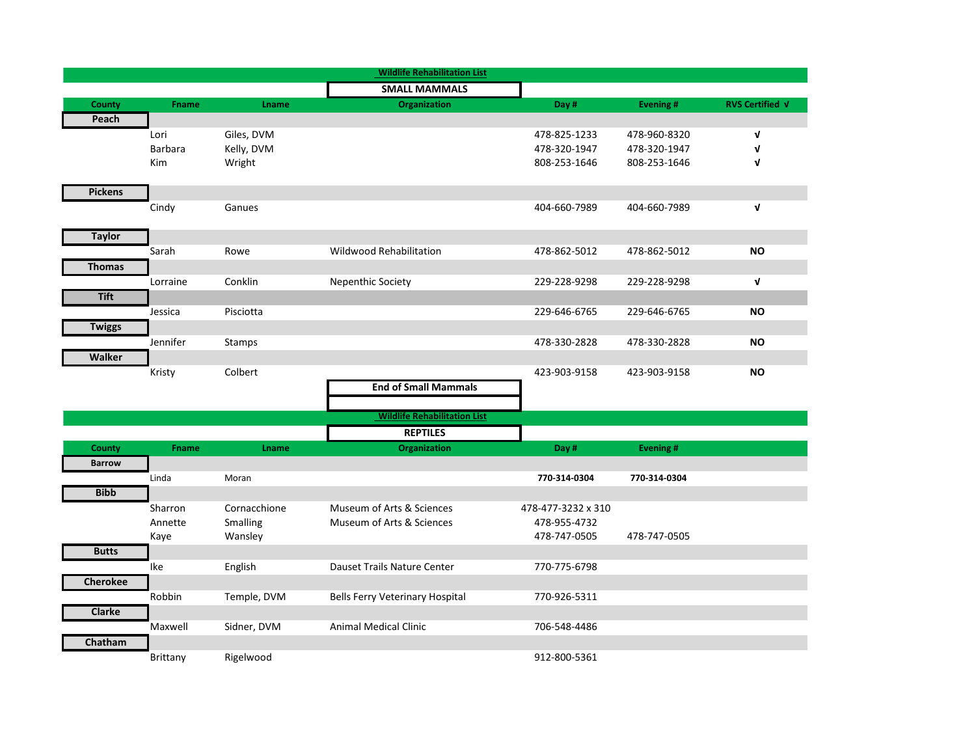|                 |              |              | <b>Wildlife Rehabilitation List</b>    |                    |              |                        |
|-----------------|--------------|--------------|----------------------------------------|--------------------|--------------|------------------------|
|                 |              |              | <b>SMALL MAMMALS</b>                   |                    |              |                        |
| <b>County</b>   | <b>Fname</b> | Lname        | <b>Organization</b>                    | Day #              | Evening #    | <b>RVS Certified V</b> |
| Peach           |              |              |                                        |                    |              |                        |
|                 | Lori         | Giles, DVM   |                                        | 478-825-1233       | 478-960-8320 | $\mathbf v$            |
|                 | Barbara      | Kelly, DVM   |                                        | 478-320-1947       | 478-320-1947 | $\mathbf v$            |
|                 | Kim          | Wright       |                                        | 808-253-1646       | 808-253-1646 | $\mathbf v$            |
|                 |              |              |                                        |                    |              |                        |
| <b>Pickens</b>  |              |              |                                        |                    |              |                        |
|                 | Cindy        | Ganues       |                                        | 404-660-7989       | 404-660-7989 | $\mathbf v$            |
|                 |              |              |                                        |                    |              |                        |
| <b>Taylor</b>   |              |              |                                        |                    |              |                        |
|                 | Sarah        | Rowe         | <b>Wildwood Rehabilitation</b>         | 478-862-5012       | 478-862-5012 | ΝO                     |
| <b>Thomas</b>   |              |              |                                        |                    |              |                        |
|                 | Lorraine     | Conklin      | Nepenthic Society                      | 229-228-9298       | 229-228-9298 | $\mathbf{v}$           |
| <b>Tift</b>     |              |              |                                        |                    |              |                        |
|                 | Jessica      | Pisciotta    |                                        | 229-646-6765       | 229-646-6765 | <b>NO</b>              |
|                 |              |              |                                        |                    |              |                        |
| <b>Twiggs</b>   |              |              |                                        |                    |              |                        |
|                 | Jennifer     | Stamps       |                                        | 478-330-2828       | 478-330-2828 | <b>NO</b>              |
| Walker          |              |              |                                        |                    |              |                        |
|                 | Kristy       | Colbert      |                                        | 423-903-9158       | 423-903-9158 | <b>NO</b>              |
|                 |              |              | <b>End of Small Mammals</b>            |                    |              |                        |
|                 |              |              |                                        |                    |              |                        |
|                 |              |              | <b>Wildlife Rehabilitation List</b>    |                    |              |                        |
|                 |              |              | <b>REPTILES</b>                        |                    |              |                        |
| County          | <b>Fname</b> | <b>Lname</b> | Organization                           | Day #              | Evening #    |                        |
| <b>Barrow</b>   |              |              |                                        |                    |              |                        |
|                 | Linda        | Moran        |                                        | 770-314-0304       | 770-314-0304 |                        |
| <b>Bibb</b>     |              |              |                                        |                    |              |                        |
|                 | Sharron      | Cornacchione | Museum of Arts & Sciences              | 478-477-3232 x 310 |              |                        |
|                 | Annette      | Smalling     | Museum of Arts & Sciences              | 478-955-4732       |              |                        |
|                 | Kaye         | Wansley      |                                        | 478-747-0505       | 478-747-0505 |                        |
| <b>Butts</b>    |              |              |                                        |                    |              |                        |
|                 | Ike          | English      | Dauset Trails Nature Center            | 770-775-6798       |              |                        |
| <b>Cherokee</b> |              |              |                                        |                    |              |                        |
|                 | Robbin       | Temple, DVM  | <b>Bells Ferry Veterinary Hospital</b> | 770-926-5311       |              |                        |
| <b>Clarke</b>   |              |              |                                        |                    |              |                        |
|                 | Maxwell      | Sidner, DVM  | <b>Animal Medical Clinic</b>           | 706-548-4486       |              |                        |
|                 |              |              |                                        |                    |              |                        |
| Chatham         |              |              |                                        |                    |              |                        |
|                 | Brittany     | Rigelwood    |                                        | 912-800-5361       |              |                        |